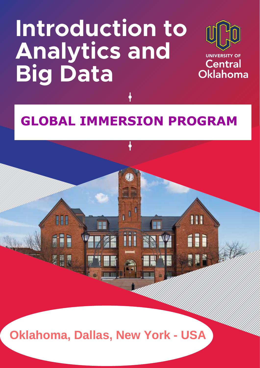# **Introduction to Analytics and Big Data**



**Central** Oklahoma

Ш

íii

8N W

## EDSTO SCHOOL PROGRAM **GLOBAL IMMERSION PROGRAM GLOBAL IMMERSION PROGRAM**

**Oklahoma, Dallas, New York- USA Oklahoma, Dallas, New York - USA**

图首

H

《星界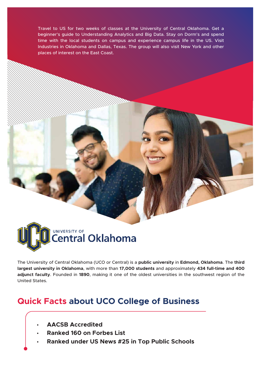Travel to US for two weeks of classes at the University of Central Oklahoma. Get a beginner's guide to Understanding Analytics and Big Data. Stay on Dorm's and spend time with the local students on campus and experience campus life in the US. Visit Industries in Oklahoma and Dallas, Texas. The group will also visit New York and other places of interest on the East Coast.



The University of Central Oklahoma (UCO or Central) is a **public university** in **Edmond, Oklahoma**. The **third largest university in Oklahoma**, with more than **17,000 students** and approximately **434 full-time and 400 adjunct faculty**. Founded in **1890**, making it one of the oldest universities in the southwest region of the United States.

#### **Quick Facts about UCO College of Business**

- • **AACSB Accredited**
- • **Ranked 160 on Forbes List**
- • **Ranked under US News #25 in Top Public Schools**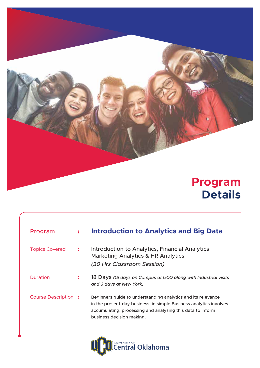### **Program Details**

| Program                    |                | <b>Introduction to Analytics and Big Data</b>                                                                                                                                                                                 |
|----------------------------|----------------|-------------------------------------------------------------------------------------------------------------------------------------------------------------------------------------------------------------------------------|
| <b>Topics Covered</b>      | $\ddot{\cdot}$ | <b>Introduction to Analytics, Financial Analytics</b><br><b>Marketing Analytics &amp; HR Analytics</b><br>(30 Hrs Classroom Session)                                                                                          |
| Duration                   | $\ddot{\cdot}$ | 18 Days (15 days on Campus at UCO along with Industrial visits<br>and 3 days at New York)                                                                                                                                     |
| <b>Course Description:</b> |                | Beginners guide to understanding analytics and its relevance<br>in the present-day business, in simple Business analytics involves<br>accumulating, processing and analysing this data to inform<br>business decision making. |